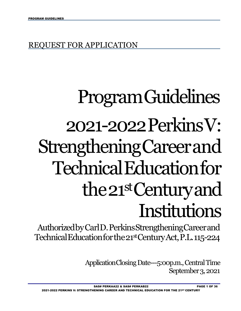## REQUEST FOR APPLICATION

# ProgramGuidelines 2021-2022PerkinsV: StrengtheningCareerand TechnicalEducationfor the21stCenturyand Institutions

 AuthorizedbyCarlD.PerkinsStrengtheningCareerand TechnicalEducationforthe21stCenturyAct,P.L.115-224

> ApplicationClosingDate---5:00p.m., Central Time September 3, 2021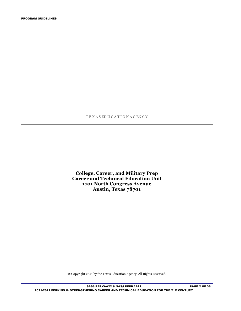#### T E X A S ED U C A T I O N A G EN C Y

**College, Career, and Military Prep Career and Technical Education Unit 1701 North Congress Avenue Austin, Texas 78701** 

© Copyright 2021 by the Texas Education Agency. All Rights Reserved.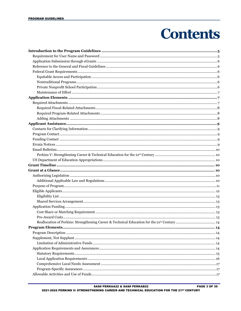## **Contents**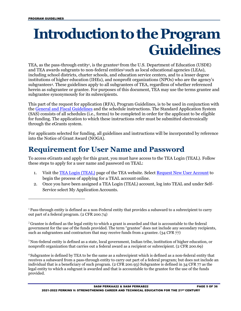## <span id="page-4-0"></span> **Introductionto theProgram Guidelines**

TEA, as the pass-through entity<sup>1</sup>, is the grantee<sup>2</sup> from the U.S. Department of Education (USDE) and TEA awards subgrants to non-federal entitie[s3 s](#page-4-4)uch as local educational agencies (LEAs), herein as subgrantee or grantee. For purposes of this document, TEA may use the terms grantee and including school districts, charter schools, and education service centers, and to a lesser degree institutions of higher education (IHEs), and nonprofit organizations (NPOs) who are the agency's subgrantee[s4.](#page-4-5) These guidelines apply to all subgrantees of TEA, regardless of whether referenced subgrantee synonymously for its subrecipients.

 (SAS) consists of all schedules (i.e., forms) to be completed in order for the applicant to be eligible for funding. The application to which these instructions refer must be submitted electronically This part of the request for application (RFA), Program Guidelines, is to be used in conjunction with the [General and Fiscal Guidelines a](http://tea.texas.gov/WorkArea/linkit.aspx?LinkIdentifier=id&ItemID=25769819073)nd the schedule instructions. The Standard Application System through the eGrants system.

For applicants selected for funding, all guidelines and instructions will be incorporated by reference into the Notice of Grant Award (NOGA).

### <span id="page-4-1"></span>**Requirement for User Name and Password**

To access eGrants and apply for this grant, you must have access to the TEA Login (TEAL). Follow these steps to apply for a user name and password on TEAL:

- begin the process of applying for a TEAL account online. 1. Visit the **TEA Login (TEAL)** page of the TEA website. Select **Request New User Account** to
- 2. Once you have been assigned a TEA Login (TEAL) account, log into TEAL and under Self-Service select My Application Accounts.

<span id="page-4-4"></span><sup>3</sup> Non-federal entity is defined as a state, local government, Indian tribe, institution of higher education, or nonprofit organization that carries out a federal award as a recipient or subrecipient. (2 CFR 200.69)

<span id="page-4-5"></span><sup>4</sup>Subgrantee is defined by TEA to be the same as a subrecipient which is defined as a non-federal entity that receives a subaward from a pass-through entity to carry out part of a federal program; but does not include an individual that is a beneficiary of such program. (2 CFR 200.93) Subgrantee is defined in 34 CFR 77 as the legal entity to which a subgrant is awarded and that is accountable to the grantee for the use of the funds provided.

<span id="page-4-2"></span> $1<sup>1</sup>$  Pass-through entity is defined as a non-Federal entity that provides a subaward to a subrecipient to carry out part of a federal program. (2 CFR 200.74)

<span id="page-4-3"></span> government for the use of the funds provided. The term "grantee" does not include any secondary recipients, <sup>2</sup> Grantee is defined as the legal entity to which a grant is awarded and that is accountable to the federal such as subgrantees and contractors that may receive funds from a grantee. (34 CFR 77)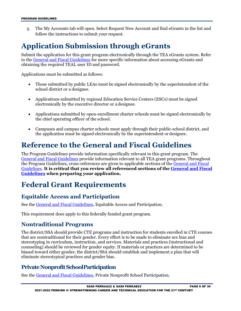follow the instructions to submit your request. 3. The My Accounts tab will open. Select Request New Account and find eGrants in the list and

## <span id="page-5-0"></span>**Application Submission through eGrants**

Submit the application for this grant program electronically through the TEA eGrants system. Refer to the [General and Fiscal Guidelines f](http://tea.texas.gov/WorkArea/linkit.aspx?LinkIdentifier=id&ItemID=25769819073)or more specific information about accessing eGrants and obtaining the required TEAL user ID and password.

Applications must be submitted as follows:

- • Those submitted by public LEAs must be signed electronically by the superintendent of the school district or a designee.
- • Applications submitted by regional Education Service Centers (ESCs) must be signed electronically by the executive director or a designee.
- the chief operating officer of the school. • Applications submitted by open-enrollment charter schools must be signed electronically by
- the application must be signed electronically by the superintendent or designee. • Campuses and campus charter schools must apply through their public-school district, and

## <span id="page-5-1"></span>**Reference to the General and Fiscal Guidelines**

The Program Guidelines provide information specifically relevant to this grant program. The [General and Fiscal Guidelines p](http://tea.texas.gov/WorkArea/linkit.aspx?LinkIdentifier=id&ItemID=25769819073)rovide information relevant to all TEA grant programs. Throughout the Program Guidelines, cross-references are given to applicable sections of the [General and Fiscal](http://tea.texas.gov/WorkArea/linkit.aspx?LinkIdentifier=id&ItemID=25769819073)  [Guidelines.](http://tea.texas.gov/WorkArea/linkit.aspx?LinkIdentifier=id&ItemID=25769819073) **It is critical that you review all referenced sections of the [General and Fiscal](http://tea.texas.gov/WorkArea/linkit.aspx?LinkIdentifier=id&ItemID=25769819073)  [Guidelines w](http://tea.texas.gov/WorkArea/linkit.aspx?LinkIdentifier=id&ItemID=25769819073)hen preparing your application.** 

## <span id="page-5-2"></span>**Federal Grant Requirements**

#### <span id="page-5-3"></span>**Equitable Access and Participation**

See the [General and Fiscal Guidelines,](http://tea.texas.gov/WorkArea/linkit.aspx?LinkIdentifier=id&ItemID=25769819073) Equitable Access and Participation.

This requirement does apply to this federally funded grant program.

#### <span id="page-5-4"></span>**Nontraditional Programs**

 stereotyping in curriculum, instruction, and services. Materials and practices (instructional and counseling) should be reviewed for gender equity. If materials or practices are determined to be eliminate stereotypical practices and gender bias. The district/SSA should provide CTE programs and instruction for students enrolled in CTE courses that are nontraditional for their gender. Every effort is to be made to eliminate sex bias and biased toward either gender, the district/SSA should establish and implement a plan that will

#### <span id="page-5-5"></span>**Private Nonprofit SchoolParticipation**

See the [General and Fiscal Guidelines,](http://tea.texas.gov/WorkArea/linkit.aspx?LinkIdentifier=id&ItemID=25769819073) Private Nonprofit School Participation.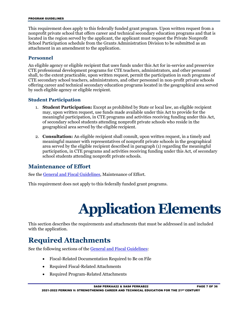#### PROGRAM GUIDELINES

 nonprofit private school that offers career and technical secondary education programs and that is located in the region served by the applicant, the applicant must request the Private Nonprofit School Participation schedule from the Grants Administration Division to be submitted as an This requirement does apply to this federally funded grant program. Upon written request from a attachment in an amendment to the application.

#### **Personnel**

 An eligible agency or eligible recipient that uses funds under this Act for in-service and preservice shall, to the extent practicable, upon written request, permit the participation in such programs of CTE professional development programs for CTE teachers, administrators, and other personnel CTE secondary school teachers, administrators, and other personnel in non-profit private schools offering career and technical secondary education programs located in the geographical area served by such eligible agency or eligible recipient.

#### **Student Participation**

- meaningful participation, in CTE programs and activities receiving funding under this Act, geographical area served by the eligible recipient. 1. **Student Participation:** Except as prohibited by State or local law, an eligible recipient may, upon written request, use funds made available under this Act to provide for the of secondary school students attending nonprofit private schools who reside in the
- school students attending nonprofit private schools. 2. **Consultation:** An eligible recipient shall consult, upon written request, in a timely and meaningful manner with representatives of nonprofit private schools in the geographical area served by the eligible recipient described in paragraph (1) regarding the meaningful participation, in CTE programs and activities receiving funding under this Act, of secondary

#### <span id="page-6-0"></span>**Maintenance of Effort**

See the [General and Fiscal Guidelines,](http://tea.texas.gov/WorkArea/linkit.aspx?LinkIdentifier=id&ItemID=25769819073) Maintenance of Effort.

<span id="page-6-1"></span>This requirement does not apply to this federally funded grant programs.

## **Application Elements**

This section describes the requirements and attachments that must be addressed in and included with the application.

## <span id="page-6-2"></span>**Required Attachments**

See the following sections of th[e General and Fiscal Guidelines:](http://tea.texas.gov/WorkArea/linkit.aspx?LinkIdentifier=id&ItemID=25769819073)

- Fiscal-Related Documentation Required to Be on File
- Required Fiscal-Related Attachments
- Required Program-Related Attachments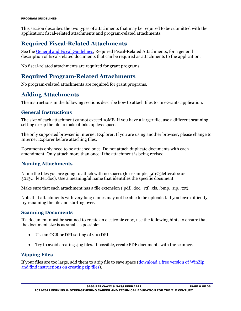This section describes the two types of attachments that may be required to be submitted with the application: fiscal-related attachments and program-related attachments.

#### <span id="page-7-0"></span>**Required Fiscal-Related Attachments**

See the [General and Fiscal Guidelines,](http://tea.texas.gov/WorkArea/linkit.aspx?LinkIdentifier=id&ItemID=25769819073) Required Fiscal-Related Attachments, for a general description of fiscal-related documents that can be required as attachments to the application.

No fiscal-related attachments are required for grant programs.

#### <span id="page-7-1"></span>**Required Program-Related Attachments**

No program-related attachments are required for grant programs.

#### <span id="page-7-2"></span>**Adding Attachments**

The instructions in the following sections describe how to attach files to an eGrants application.

#### **General Instructions**

The size of each attachment cannot exceed 10MB. If you have a larger file, use a different scanning setting or zip the file to make it take up less space.

 The only supported browser is Internet Explorer. If you are using another browser, please change to Internet Explorer before attaching files.

 Documents only need to be attached once. Do not attach duplicate documents with each amendment. Only attach more than once if the attachment is being revised.

#### **Naming Attachments**

 5013C\_letter.doc). Use a meaningful name that identifies the specific document. Name the files you are going to attach with no spaces (for example, 501C3letter.doc or

Make sure that each attachment has a file extension (.pdf, .doc, .rtf, .xls, .bmp, .zip, .txt).

Note that attachments with very long names may not be able to be uploaded. If you have difficulty, try renaming the file and starting over.

#### **Scanning Documents**

If a document must be scanned to create an electronic copy, use the following hints to ensure that the document size is as small as possible:

- Use an OCR or DPI setting of 200 DPI.
- Try to avoid creating .jpg files. If possible, create PDF documents with the scanner.

#### **Zipping Files**

If your files are too large, add them to a zip file to save space (<u>download a free version of WinZip</u> [and find instructions on creating zip files\)](http://www.winzip.com/downwz.htm).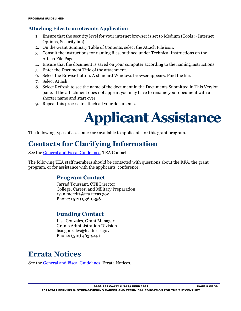#### **Attaching Files to an eGrants Application**

- Options, Security tab). 1. Ensure that the security level for your internet browser is set to Medium (Tools > Internet
- 2. On the Grant Summary Table of Contents, select the Attach File icon.
- Attach File Page. 3. Consult the instructions for naming files, outlined under Technical Instructions on the
- 4. Ensure that the document is saved on your computer according to the naming instructions.
- 5. Enter the Document Title of the attachment.
- 6. Select the Browse button. A standard Windows browser appears. Find the file.
- 7. Select Attach.
- pane. If the attachment does not appear, you may have to rename your document with a shorter name and start over. 8. Select Refresh to see the name of the document in the Documents Submitted in This Version
- <span id="page-8-0"></span>9. Repeat this process to attach all your documents.

## **Applicant Assistance**

The following types of assistance are available to applicants for this grant program.

## <span id="page-8-1"></span>**Contacts for Clarifying Information**

See the [General and Fiscal Guidelines,](http://tea.texas.gov/WorkArea/linkit.aspx?LinkIdentifier=id&ItemID=25769819073) TEA Contacts.

<span id="page-8-2"></span> The following TEA staff members should be contacted with questions about the RFA, the grant program, or for assistance with the applicants' conference:

#### **Program Contact**

 Jarrad Toussant, CTE Director College, Career, and Military Preparation [ryan.merritt@tea.texas.gov](mailto:ryan.merritt@tea.texas.gov)  Phone: (512) 936-0356

#### <span id="page-8-3"></span>**Funding Contact**

Lisa Gonzales, Grant Manager Grants Administration Divisio[n](mailto:lisa.gonzales@tea.texas.gov)  [lisa.gonzales@tea.texas.gov](mailto:lisa.gonzales@tea.texas.gov)  Phone: (512) 463-9491

## <span id="page-8-4"></span>**Errata Notices**

See the [General and Fiscal Guidelines,](http://tea.texas.gov/WorkArea/linkit.aspx?LinkIdentifier=id&ItemID=25769819073) Errata Notices.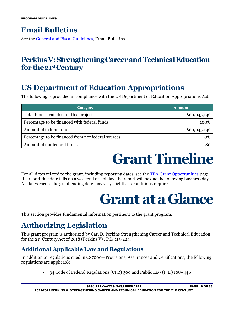## <span id="page-9-0"></span>**Email Bulletins**

See the [General and Fiscal Guidelines,](http://tea.texas.gov/WorkArea/linkit.aspx?LinkIdentifier=id&ItemID=25769819073) Email Bulletins.

## <span id="page-9-1"></span> **PerkinsV: StrengtheningCareerandTechnicalEducation for the21stCentury**

## <span id="page-9-2"></span>**US Department of Education Appropriations**

The following is provided in compliance with the US Department of Education Appropriations Act:

| Category                                          | <b>Amount</b> |
|---------------------------------------------------|---------------|
| Total funds available for this project            | \$60,045,146  |
| Percentage to be financed with federal funds      | 100%          |
| Amount of federal funds                           | \$60,045,146  |
| Percentage to be financed from nonfederal sources | 0%            |
| Amount of nonfederal funds                        | \$0           |

## **Grant Timeline**

<span id="page-9-4"></span><span id="page-9-3"></span>For all dates related to the grant, including reporting dates, see the [TEA Grant Opportunities p](http://burleson.tea.state.tx.us/GrantOpportunities/forms/GrantProgramSearch.aspx)age. If a report due date falls on a weekend or holiday, the report will be due the following business day. All dates except the grant ending date may vary slightly as conditions require.

## **Grant ata Glance**

This section provides fundamental information pertinent to the grant program.

## <span id="page-9-5"></span>**Authorizing Legislation**

 for the 21st Century Act of 2018 (Perkins V) , P.L. 115-224. This grant program is authorized by Carl D. Perkins Strengthening Career and Technical Education

#### <span id="page-9-6"></span> **Additional Applicable Law and Regulations**

In addition to regulations cited in CS7000—Provisions, Assurances and Certifications, the following regulations are applicable:

• 34 Code of Federal Regulations (CFR) 300 and Public Law (P.L.) 108–446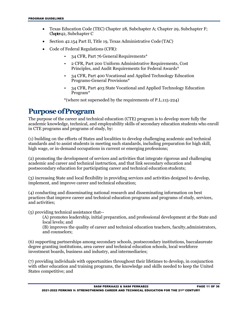- Chapter42, Subchapter C • Texas Education Code (TEC) Chapter 28, Subchapter A; Chapter 29, Subchapter F;
- Section 42.154 Part II, Title 19, Texas Administrative Code (TAC)
- • Code of Federal Regulations (CFR):
	- 34 CFR, Part 76 General Requirements\*
	- • 2 CFR, Part 200 Uniform Administrative Requirements, Cost Principles, and Audit Requirements for Federal Awards\*
	- 34 CFR, Part 400 Vocational and Applied Technology Education Programs-General Provisions\*
	- 34 CFR, Part 403 State Vocational and Applied Technology Education Program\*

\*(where not superseded by the requirements of P.L.115-224)

### <span id="page-10-0"></span>**Purpose ofProgram**

 The purpose of the career and technical education (CTE) program is to develop more fully the academic knowledge, technical, and employability skills of secondary education students who enroll in CTE programs and programs of study, by:

 standards and to assist students in meeting such standards, including preparation for high skill, (1) building on the efforts of States and localities to develop challenging academic and technical high wage, or in-demand occupations in current or emerging professions;

 postsecondary education for participating career and technical education students; (2) promoting the development of services and activities that integrate rigorous and challenging academic and career and technical instruction, and that link secondary education and

 (3) increasing State and local flexibility in providing services and activities designed to develop, implement, and improve career and technical education;

 and activities; (4) conducting and disseminating national research and disseminating information on best practices that improve career and technical education programs and programs of study, services,

(5) providing technical assistance that--

 local levels; and (A) promotes leadership, initial preparation, and professional development at the State and

(B) improves the quality of career and technical education teachers, faculty,administrators, and counselors;

(6) supporting partnerships among secondary schools, postsecondary institutions, baccalaureate degree granting institutions, area career and technical education schools, local workforce investment boards, business and industry, and intermediaries;

 with other education and training programs, the knowledge and skills needed to keep the United States competitive; and (7) providing individuals with opportunities throughout their lifetimes to develop, in conjunction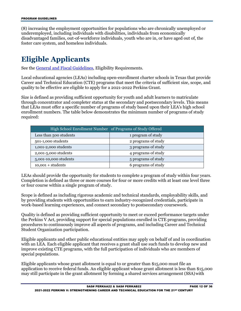(8) increasing the employment opportunities for populations who are chronically unemployed or underemployed, including individuals with disabilities, individuals from economically disadvantaged families, out-of-workforce individuals, youth who are in, or have aged out of, the foster care system, and homeless individuals.

## <span id="page-11-0"></span>**Eligible Applicants**

See the [General and Fiscal Guidelines,](http://tea.texas.gov/WorkArea/linkit.aspx?LinkIdentifier=id&ItemID=25769819073) Eligibility Requirements.

 Career and Technical Education (CTE) programs that meet the criteria of sufficient size, scope, and Local educational agencies (LEAs) including open-enrollment charter schools in Texas that provide quality to be effective are eligible to apply for a 2021-2022 Perkins Grant.

 that LEAs must offer a specific number of programs of study based upon their LEA's high school Size is defined as providing sufficient opportunity for youth and adult learners to matriculate through concentrator and completer status at the secondary and postsecondary levels. This means enrollment numbers. The table below demonstrates the minimum number of programs of study required:

| High School Enrollment Number of Programs of Study Offered |                     |  |
|------------------------------------------------------------|---------------------|--|
| Less than 500 students                                     | 1 program of study  |  |
| 501-1,000 students                                         | 2 programs of study |  |
| 1,001-2,000 students                                       | 3 programs of study |  |
| 2,001-5,000 students                                       | 4 programs of study |  |
| 5,001-10,000 students                                      | 5 programs of study |  |
| $10,001 + students$                                        | 6 programs of study |  |

LEAs should provide the opportunity for students to complete a program of study within four years. Completion is defined as three or more courses for four or more credits with at least one level three or four course within a single program of study.

Scope is defined as including rigorous academic and technical standards, employability skills, and by providing students with opportunities to earn industry-recognized credentials, participate in work-based learning experiences, and connect secondary to postsecondary coursework.

 the Perkins V Act, providing support for special populations enrolled in CTE programs, providing Quality is defined as providing sufficient opportunity to meet or exceed performance targets under procedures to continuously improve all aspects of programs, and including Career and Technical Student Organization participation.

 Eligible applicants and other public educational entities may apply on behalf of and in coordination with an LEA. Each eligible applicant that receives a grant shall use such funds to develop new and improve existing CTE programs, with the full participation of individuals who are members of special populations.

 may still participate in the grant allotment by forming a shared services arrangement (SSA)with Eligible applicants whose grant allotment is equal to or greater than \$15,000 must file an application to receive federal funds. An eligible applicant whose grant allotment is less than \$15,000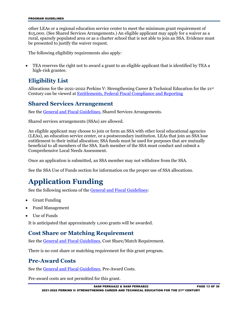\$15,000. (See Shared Services Arrangements.) An eligible applicant may apply for a waiver as a rural, sparsely populated area or as a charter school that is not able to join an SSA. Evidence must be presented to justify the waiver request. other LEAs or a regional education service center to meet the minimum grant requirement of

The following eligibility requirements also apply:

 • TEA reserves the right not to award a grant to an eligible applicant that is identified by TEA a high-risk grantee.

#### <span id="page-12-0"></span>**Eligibility List**

Allocations for the 2021-2022 Perkins V: Strengthening Career & Technical Education for the 21st Century can be viewed at [Entitlements, Federal Fiscal Compliance and Reporting](https://tea.texas.gov/Finance_and_Grants/Grants/Applying_for_a_Grant/Entitlements%2C_Grants_Administration_Division/) 

#### <span id="page-12-1"></span>**Shared Services Arrangement**

See the [General and Fiscal Guidelines,](http://tea.texas.gov/WorkArea/linkit.aspx?LinkIdentifier=id&ItemID=25769819073) Shared Services Arrangements.

Shared services arrangements (SSAs) are allowed.

 An eligible applicant may choose to join or form an SSA with other local educational agencies entitlement to their initial allocation; SSA funds must be used for purposes that are mutually (LEAs), an education service center, or a postsecondary institution. LEAs that join an SSA lose beneficial to all members of the SSA. Each member of the SSA must conduct and submit a Comprehensive Local Needs Assessment.

<span id="page-12-2"></span>Once an application is submitted, an SSA member may not withdraw from the SSA.

See the SSA Use of Funds section for information on the proper use of SSA allocations.

## **Application Funding**

See the following sections of th[e General and Fiscal Guidelines:](http://tea.texas.gov/WorkArea/linkit.aspx?LinkIdentifier=id&ItemID=25769819073)

- Grant Funding
- Fund Management
- Use of Funds

It is anticipated that approximately 1,000 grants will be awarded.

#### <span id="page-12-3"></span> **Cost Share or Matching Requirement**

See the [General and Fiscal Guidelines,](http://tea.texas.gov/WorkArea/linkit.aspx?LinkIdentifier=id&ItemID=25769819073) Cost Share/Match Requirement.

There is no cost share or matching requirement for this grant program.

#### <span id="page-12-4"></span>**Pre-Award Costs**

See the [General and Fiscal Guidelines,](http://tea.texas.gov/WorkArea/linkit.aspx?LinkIdentifier=id&ItemID=25769819073) Pre-Award Costs.

Pre-award costs are not permitted for this grant.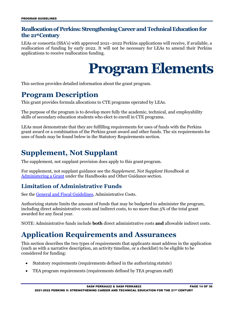#### <span id="page-13-0"></span>**Reallocation of Perkins: StrengtheningCareer and Technical Education for the 21st Century**

<span id="page-13-1"></span>LEAs or consortia (SSA's) with approved 2021–2022 Perkins applications will receive, if available, a reallocation of funding by early 2022. It will not be necessary for LEAs to amend their Perkins applications to receive reallocation funding.

## **Program Elements**

This section provides detailed information about the grant program.

### <span id="page-13-2"></span>**Program Description**

This grant provides formula allocations to CTE programs operated by LEAs.

 The purpose of the program is to develop more fully the academic, technical, and employability skills of secondary education students who elect to enroll in CTE programs.

LEAs must demonstrate that they are fulfilling requirements for uses of funds with the Perkins grant award or a combination of the Perkins grant award and other funds. The six requirements for uses of funds may be found below in the Statutory Requirements section.

## <span id="page-13-3"></span>**Supplement, Not Supplant**

The supplement, not supplant provision does apply to this grant program.

[Administering a Grant u](https://tea.texas.gov/Finance_and_Grants/Administering_a_Grant.aspx)nder the Handbooks and Other Guidance section. For supplement, not supplant guidance see the *Supplement, Not Supplant Handbook* at

#### <span id="page-13-4"></span> **Limitation of Administrative Funds**

See the [General and Fiscal Guidelines,](http://tea.texas.gov/WorkArea/linkit.aspx?LinkIdentifier=id&ItemID=25769819073) Administrative Costs.

 including direct administrative costs and indirect costs, to no more than 5% of the total grant Authorizing statute limits the amount of funds that may be budgeted to administer the program, awarded for any fiscal year.

NOTE: Administrative funds include **both** direct administrative costs **and** allowable indirect costs.

## <span id="page-13-5"></span>**Application Requirements and Assurances**

 (such as with a narrative description, an activity timeline, or a checklist) to be eligible to be This section describes the two types of requirements that applicants must address in the application considered for funding:

- Statutory requirements (requirements defined in the authorizing statute)
- TEA program requirements (requirements defined by TEA program staff)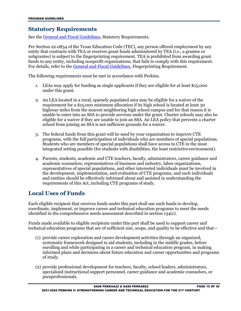#### <span id="page-14-0"></span>**Statutory Requirements**

See the [General and Fiscal Guidelines,](http://tea.texas.gov/WorkArea/linkit.aspx?LinkIdentifier=id&ItemID=25769819073) Statutory Requirements.

 Per Section 22.0834 of the Texas Education Code (TEC), any person offered employment by any entity that contracts with TEA or receives grant funds administered by TEA (i.e., a grantee or subgrantee) is subject to the fingerprinting requirement. TEA is prohibited from awarding grant funds to any entity, including nonprofit organizations, that fails to comply with this requirement. For details, refer to the [General and Fiscal Guidelines,](http://tea.texas.gov/WorkArea/linkit.aspx?LinkIdentifier=id&ItemID=25769819073) Fingerprinting Requirement.

The following requirements must be met in accordance with Perkins.

- under this grant. 1. LEAs may apply for funding as single applicants if they are eligible for at least \$15,000
- 2. An LEA located in a rural, sparsely populated area may be eligible for a waiver of the requirement for a \$15,000 minimum allocation if its high school is located at least 30 highway miles from the nearest neighboring high school campus and for that reason it is unable to enter into an SSA to provide services under the grant. Charter schools may also be school from joining an SSA is not sufficient grounds for a waiver. eligible for a waiver if they are unable to join an SSA. An LEA policy that prevents a charter
- 3. The federal funds from this grant will be used by your organization to improve CTE programs, with the full participation of individuals who are members of special populations. Students who are members of special populations shall have access to CTE in the most integrated setting possible (for students with disabilities, the least restrictiveenvironment).
- requirements of this Act, including CTE programs of study. 4. Parents, students, academic and CTE teachers, faculty, administrators, career guidance and academic counselors, representatives of business and industry, labor organizations, representatives of special populations, and other interested individuals must be involved in the development, implementation, and evaluation of CTE programs, and such individuals and entities should be effectively informed about and assisted in understanding the

#### **Local Uses of Funds**

 Each eligible recipient that receives funds under this part shall use such funds to develop, identified in the comprehensive needs assessment described in section 134(c). coordinate, implement, or improve career and technical education programs to meet the needs

Funds made available to eligible recipients under this part shall be used to support career and technical education programs that are of sufficient size, scope, and quality to be effective and that—

- informed plans and decisions about future education and career opportunities and programs of study. (1) provide career exploration and career development activities through an organized, systematic framework designed to aid students, including in the middle grades, before enrolling and while participating in a career and technical education program, in making
- specialized instructional support personnel, career guidance and academic counselors, or (2) provide professional development for teachers, faculty, school leaders, administrators, paraprofessionals.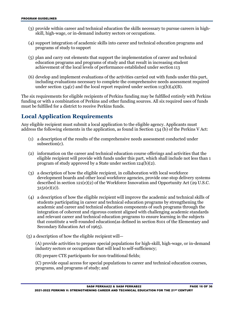- (3) provide within career and technical education the skills necessary to pursue careers in highskill, high-wage, or in-demand industry sectors or occupations.
- (4) support integration of academic skills into career and technical education programs and programs of study to support
- achievement of the local levels of performance established under section 113 (5) plan and carry out elements that support the implementation of career and technical education programs and programs of study and that result in increasing student
- (6) develop and implement evaluations of the activities carried out with funds under this part, including evaluations necessary to complete the comprehensive needs assessment required under section 134(c) and the local report required under section 113(b)(4)(B).

 funding or with a combination of Perkins and other funding sources. All six required uses of funds must be fulfilled for a district to receive Perkins funds. The six requirements for eligible recipients of Perkins funding may be fulfilled entirely with Perkins

#### <span id="page-15-0"></span>**Local Application Requirements**

 Any eligible recipient must submit a local application to the eligible agency. Applicants must address the following elements in the application, as found in Section 134 (b) of the Perkins V Act:

- (1) a description of the results of the comprehensive needs assessment conducted under subsection(c).
- program of study approved by a State under section 124(b)(2). (2) information on the career and technical education course offerings and activities that the eligible recipient will provide with funds under this part, which shall include not less than 1
- (3) a description of how the eligible recipient, in collaboration with local workforce development boards and other local workforce agencies, provide one-stop delivery systems described in section 121(e)(2) of the Workforce Innovation and Opportunity Act (29 U.S.C.  $3151(e)(2)$ ).
- (4) a description of how the eligible recipient will improve the academic and technical skills of integration of coherent and rigorous content aligned with challenging academic standards and relevant career and technical education programs to ensure learning in the subjects Secondary Education Act of 1965). students participating in career and technical education programs by strengthening the academic and career and technical education components of such programs through the that constitute a well-rounded education(as defined in section 8101 of the Elementary and
- (5) a description of how the eligible recipient will—

(A) provide activities to prepare special populations for high-skill, high-wage, or in-demand industry sectors or occupations that will lead to self-sufficiency;

(B) prepare CTE participants for non-traditional fields;

 programs, and programs of study; and (C) provide equal access for special populations to career and technical education courses,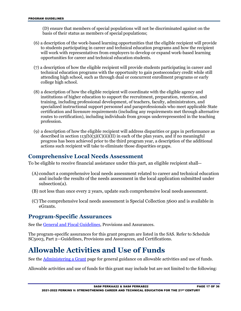(D) ensure that members of special populations will not be discriminated against on the basis of their status as members of special populations;

- (6) a description of the work-based learning opportunities that the eligible recipient will provide will work with representatives from employers to develop or expand work-based learning opportunities for career and technical education students. to students participating in career and technical education programs and how the recipient
- (7) a description of how the eligible recipient will provide students participating in career and technical education programs with the opportunity to gain postsecondary credit while still college high school. attending high school, such as through dual or concurrent enrollment programs or early
- (8) a description of how the eligible recipient will coordinate with the eligible agency and specialized instructional support personnel and paraprofessionals who meet applicable State institutions of higher education to support the recruitment, preparation, retention, and training, including professional development, of teachers, faculty, administrators, and certification and licensure requirements (including any requirements met through alternative routes to certification), including individuals from groups underrepresented in the teaching profession.
- <span id="page-16-0"></span> (9) a description of how the eligible recipient will address disparities or gaps in performance as actions such recipient will take to eliminate those disparities or gaps. described in section  $113(b)(3)(C)(ii)(II)$  in each of the plan years, and if no meaningful progress has been achieved prior to the third program year, a description of the additional

#### **Comprehensive Local Needs Assessment**

To be eligible to receive financial assistance under this part, an eligible recipient shall--

- (A) conduct a comprehensive local needs assessment related to career and technical education and include the results of the needs assessment in the local application submitted under subsection(a).
- (B) not less than once every 2 years, update such comprehensive local needs assessment.
- (C) The comprehensive local needs assessment is Special Collection 5600 and is available in eGrants.

#### <span id="page-16-1"></span>**Program-Specific Assurances**

See the [General and Fiscal Guidelines,](http://tea.texas.gov/WorkArea/linkit.aspx?LinkIdentifier=id&ItemID=25769819073) Provisions and Assurances.

 The program-specific assurances for this grant program are listed in the SAS. Refer to Schedule SC5003, Part 2—Guidelines, Provisions and Assurances, and Certifications.

## <span id="page-16-2"></span>**Allowable Activities and Use of Funds**

See the <u>Administering a Grant</u> page for general guidance on allowable activities and use of funds.

Allowable activities and use of funds for this grant may include but are not limited to the following: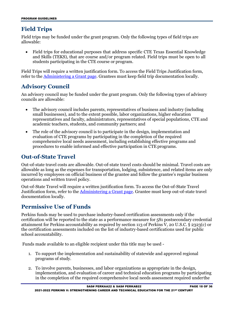#### <span id="page-17-0"></span>**Field Trips**

Field trips may be funded under the grant program. Only the following types of field trips are allowable:

 and Skills (TEKS), that are course and/or program related. Field trips must be open to all students participating in the CTE course or program. • Field trips for educational purposes that address specific CTE Texas Essential Knowledge

Field Trips will require a written justification form. To access the Field Trips Justification form, refer to the [Administering a Grant page.](http://tea.texas.gov/Finance_and_Grants/Administering_a_Grant.aspx) Grantees must keep field trip documentation locally.

#### <span id="page-17-1"></span>**Advisory Council**

An advisory council may be funded under the grant program. Only the following types of advisory councils are allowable:

- academic teachers, students, and community partners; and • The advisory council includes parents, representatives of business and industry (including small businesses), and to the extent possible, labor organizations, higher education representatives and faculty, administrators, representatives of special populations, CTE and
- • The role of the advisory council is to participate in the design, implementation and procedures to enable informed and effective participation in CTE programs. evaluation of CTE programs by participating in the completion of the required comprehensive local needs assessment, including establishing effective programs and

#### <span id="page-17-2"></span>**Out-of-State Travel**

Out-of-state travel costs are allowable. Out-of-state travel costs should be minimal. Travel costs are allowable as long as the expenses for transportation, lodging, subsistence, and related items are only incurred by employees on official business of the grantee and follow the grantee's regular business operations and written travel policy.

Out-of-State Travel will require a written justification form. To access the Out-of-State Travel Justification form, refer to the [Administering a Grant page.](http://tea.texas.gov/Finance_and_Grants/Administering_a_Grant.aspx) Grantee must keep out-of-state travel documentation locally.

#### <span id="page-17-3"></span> **Permissive Use of Funds**

 Perkins funds may be used to purchase industry-based certification assessments only if the certification will be reported to the state as a performance measure for 5S1 postsecondary credential attainment for Perkins accountability as required by section 113 of Perkins V, 20 U.S.C.  $\S$  2323(c) or the certification assessments included on the list of industry-based certifications used for public school accountability.

Funds made available to an eligible recipient under this title may be used -

- programs of study. 1. To support the implementation and sustainability of statewide and approved regional
- in the completion of the required comprehensive local needs assessment required underthe 2. To involve parents, businesses, and labor organizations as appropriate in the design, implementation, and evaluation of career and technical education programs by participating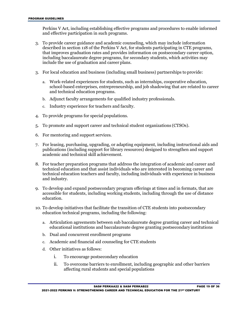Perkins V Act, including establishing effective programs and procedures to enable informed and effective participation in such programs.

- described in section 118 of the Perkins V Act, for students participating in CTE programs, including baccalaureate degree programs, for secondary students, which activities may include the use of graduation and career plans. 3. To provide career guidance and academic counseling, which may include information that improves graduation rates and provides information on postsecondary career option,
- 3. For local education and business (including small business) partnerships to provide:
	- and technical education programs. a. Work-related experiences for students, such as internships, cooperative education, school-based enterprises, entrepreneurship, and job shadowing that are related to career
	- b. Adjunct faculty arrangements for qualified industry professionals.
	- c. Industry experience for teachers and faculty.
- 4. To provide programs for special populations.
- 5. To promote and support career and technical student organizations (CTSOs).
- 6. For mentoring and support services.
- 7. For leasing, purchasing, upgrading, or adapting equipment, including instructional aids and publications (including support for library resources) designed to strengthen and support academic and technical skill achievement.
- and industry. 8. For teacher preparation programs that address the integration of academic and career and technical education and that assist individuals who are interested in becoming career and technical education teachers and faculty, including individuals with experience in business
- accessible for students, including working students, including through the use of distance 9. To develop and expand postsecondary program offerings at times and in formats, that are education.
- 10. To develop initiatives that facilitate the transition of CTE students into postsecondary education technical programs, including the following:
	- educational institutions and baccalaureate degree granting postsecondary institutions a. Articulation agreements between sub baccalaureate degree granting career and technical
	- b. Dual and concurrent enrollment programs
	- c. Academic and financial aid counseling for CTE students
	- d. Other initiatives as follows:
		- i. To encourage postsecondary education
		- ii. To overcome barriers to enrollment, including geographic and other barriers affecting rural students and special populations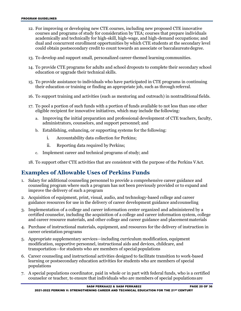- could obtain postsecondary credit to count towards an associate or baccalaureate degree. 12. For improving or developing new CTE courses, including new proposed CTE innovative courses and programs of study for consideration by TEA; courses that prepare individuals academically and technically for high-skill, high-wage, and high-demand occupations; and dual and concurrent enrollment opportunities by which CTE students at the secondary level
- 13. To develop and support small, personalized career-themed learning communities.
- 14. To provide CTE programs for adults and school dropouts to complete their secondary school education or upgrade their technical skills.
- their education or training or finding an appropriate job, such as through referral. 15. To provide assistance to individuals who have participated in CTE programs in continuing
- 16. To support training and activities (such as mentoring and outreach) in nontraditional fields.
- eligible recipient for innovative initiatives, which may include the following: 17. To pool a portion of such funds with a portion of funds available to not less than one other
	- administrators, counselors, and support personnel; and a. Improving the initial preparation and professional development of CTE teachers, faculty,
	- b. Establishing, enhancing, or supporting systems for the following:
		- i. Accountability data collection for Perkins;
		- ii. Reporting data required by Perkins;
	- c. Implement career and technical programs of study; and
- 18. To support other CTE activities that are consistent with the purpose of the Perkins VAct.

#### <span id="page-19-0"></span> **Examples of Allowable Uses of Perkins Funds**

- improve the delivery of such a program 1. Salary for additional counseling personnel to provide a comprehensive career guidance and counseling program where such a program has not been previously provided or to expand and
- guidance resources for use in the delivery of career development guidance andcounseling 2. Acquisition of equipment, print, visual, audio, and technology-based college and career
- and career resource materials, and other college and career guidance and placementmaterials 3. Implementation of a college and career information center organized and administered by a certified counselor, including the acquisition of a college and career information system, college
- career orientation programs 4. Purchase of instructional materials, equipment, and resources for the delivery of instruction in
- 5. Appropriate supplementary services—including curriculum modification, equipment modification, supportive personnel, instructional aids and devices, childcare, and transportation—for students who are members of special populations
- learning or postsecondary education activities for students who are members of special 6. Career counseling and instructional activities designed to facilitate transition to work-based populations
- counselor or teacher, to ensure that individuals who are members of special populations are 7. A special populations coordinator, paid in whole or in part with federal funds, who is a certified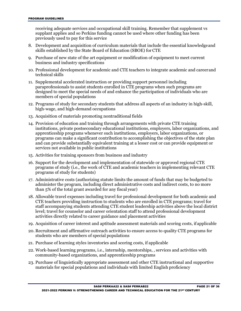supplant applies and so Perkins funding cannot be used where other funding has been receiving adequate services and occupational skill training. Remember that supplement vs previously used to pay for this service

- skills established by the State Board of Education (SBOE) for CTE 8. Development and acquisition of curriculum materials that include the essential knowledgeand
- 9. Purchase of new state of the art equipment or modification of equipment to meet current business and industry specifications
- technical skills 10. Professional development for academic and CTE teachers to integrate academic and careerand
- 11. Supplemental accelerated instruction or providing support personnel including designed to meet the special needs of and enhance the participation of individuals who are paraprofessionals to assist students enrolled in CTE programs when such programs are members of special populations
- 12. Programs of study for secondary students that address all aspects of an industry in high-skill, high-wage, and high-demand occupations
- 13. Acquisition of materials promoting nontraditional fields
- institutions, private postsecondary educational institutions, employers, labor organizations, and programs can make a significant contribution to accomplishing the objectives of the state plan and can provide substantially equivalent training at a lesser cost or can provide equipment or 14. Provision of education and training through arrangements with private CTE training apprenticeship programs whenever such institutions, employers, labor organizations, or services not available in public institutions
- 15. Activities for training sponsors from business and industry
- programs of study for students) 16. Support for the development and implementation of statewide or approved regional CTE programs of study (i.e., the work of CTE and academic teachers in implementing relevant CTE
- administer the program, including direct administrative costs and indirect costs, to no more than 5% of the total grant awarded for any fiscal year) 17. Administrative costs (authorizing statute limits the amount of funds that may be budgeted to
- activities directly related to career guidance and placement activities 18. Allowable travel expenses including travel for professional development for both academic and CTE teachers providing instruction to students who are enrolled in CTE programs; travel for staff accompanying students attending CTE student leadership activities above the local district level; travel for counselor and career orientation staff to attend professional development
- 19. Acquisition of career interest and aptitude assessment materials and scoring costs, if applicable
- 20. Recruitment and affirmative outreach activities to ensure access to quality CTE programs for students who are members of special populations
- 21. Purchase of learning styles inventories and scoring costs, if applicable
- community-based organizations, and apprenticeship programs 22. Work-based learning programs, i.e., internship, mentorships, , services and activities with
- materials for special populations and individuals with limited English proficiency 23. Purchase of linguistically appropriate assessment and other CTE instructional and supportive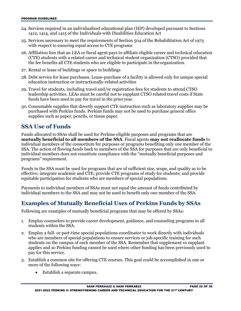- 24. Services required in an individualized educational plan (IEP) developed pursuant to Sections 1412, 1414, and 1415 of the Individuals with Disabilities Education Act
- 25. Services necessary to meet the requirements of Section 504 of the Rehabilitation Act of 1973 with respect to ensuring equal access to CTE programs
- 26. Affiliation fees that an LEA or fiscal agent pays to affiliate eligible career and technical education (CTE) students with a related career and technical student organization (CTSO) provided that the fee benefits all CTE students who are eligible to participate in the organization.
- 27. Rental or lease of buildings or space in buildings
- 28. Debt service for lease purchases. Lease-purchase of a facility is allowed only for unique special education instruction or instructionally-related activities
- leadership activities. LEAs must be careful not to supplant CTSO related travel costs if State funds have been used to pay for travel in the prior year. 29. Travel for students, including travel and/or registration fees for students to attend CTSO
- supplies such as paper, pencils, or tissue paper. 30. Consumable supplies that directly support CTE instruction such as laboratory supplies may be purchased with Perkins funds. Perkins funds may not be used to purchase general office

#### <span id="page-21-0"></span>**SSA Use of Funds**

 individual members of the consortium for purposes or programs benefiting only one member of the Funds allocated to SSAs shall be used for Perkins-eligible purposes and programs that are **mutually beneficial to all members of the SSA**. Fiscal agents **may not reallocate funds** to SSA. The action of flowing funds back to members of the SSA for purposes that are only beneficial to individual members does not constitute compliance with the "mutually beneficial purposes and programs" requirement.

 Funds in the SSA must be used for programs that are of sufficient size, scope, and quality as to be effective; integrate academic and CTE; provide CTE programs of study for students; and provide equitable participation for students who are members of special populations.

Payments to individual members of SSAs must not equal the amount of funds contributed by individual members to the SSA and may not be used to benefit only one member of the SSA.

#### <span id="page-21-1"></span>**Examples of Mutually Beneficial Uses of Perkins Funds by SSAs**

Following are examples of mutually beneficial programs that may be offered by SSAs:

- 1. Employ counselors to provide career development, guidance, and counseling programs to all students within the SSA.
- students on the campus of each member of the SSA. Remember that supplement vs supplant applies and so Perkins funding cannot be used where other funding has been previously used to pay for this service. 2. Employ a full- or part-time special populations coordinator to work directly with individuals who are members of special populations to ensure services or job-specific training for such
- 3. Establish a common site for offering CTE courses. This goal could be accomplished in one or more of the following ways:
	- Establish a separate campus.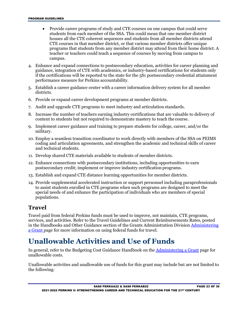- students from each member of the SSA. This could mean that one member district • Provide career programs of study and CTE courses on one campus that could serve houses all the CTE coherent sequences and students from all member districts attend CTE courses in that member district, or that various member districts offer unique programs that students from any member district may attend from their home district. A teacher or teachers could teach a sequence of courses by moving from campus to campus.
- 4. Enhance and expand connections to postsecondary education, activities for career planning and guidance, integration of CTE with academics, or industry-based certifications for students only if the certifications will be reported to the state for the 5S1 postsecondary credential attainment performance measure for Perkins accountability.
- 5. Establish a career guidance center with a career information delivery system for all member districts.
- 6. Provide or expand career development programs at member districts.
- 7. Audit and upgrade CTE programs to meet industry and articulation standards.
- 8. Increase the number of teachers earning industry certifications that are valuable to delivery of content to students but not required to demonstrate mastery to teach the course.
- 9. Implement career guidance and training to prepare students for college, career, and/or the military.
- coding and articulation agreements, and strengthen the academic and technical skills of career and technical students. 10. Employ a seamless transition coordinator to work directly with members of the SSA on PEIMS
- 11. Develop shared CTE materials available to students of member districts.
- postsecondary credit; implement or improve industry certification programs. 12. Enhance connections with postsecondary institutions, including opportunities to earn
- 13. Establish and expand CTE distance learning opportunities for member districts.
- special needs of and enhance the participation of individuals who are members of special 14. Provide supplemental accelerated instruction or support personnel including paraprofessionals to assist students enrolled in CTE programs when such programs are designed to meet the populations.

#### <span id="page-22-0"></span>**Travel**

 Travel paid from federal Perkins funds must be used to improve, not maintain, CTE programs, services, and activities. Refer to the Travel Guidelines and Current Reimbursements Rates, posted in the Handbooks and Other Guidance section of the Grants Administration Division [Administering](http://www.tea.texas.gov/WorkArea/linkit.aspx?LinkIdentifier=id&ItemID=25769814700)  [a Grant p](http://www.tea.texas.gov/WorkArea/linkit.aspx?LinkIdentifier=id&ItemID=25769814700)age for more information on using federal funds for travel.

## <span id="page-22-1"></span>**Unallowable Activities and Use of Funds**

In general, refer to the Budgeting Cost Guidance Handbook on the [Administering a Grant p](http://www.tea.texas.gov/WorkArea/linkit.aspx?LinkIdentifier=id&ItemID=25769814700)age for unallowable costs.

Unallowable activities and unallowable use of funds for this grant may include but are not limited to the following: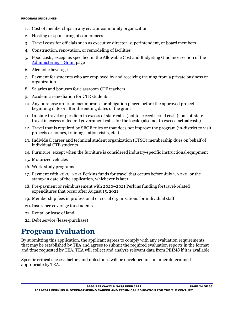- 1. Cost of memberships in any civic or community organization
- 2. Hosting or sponsoring of conferences
- 3. Travel costs for officials such as executive director, superintendent, or board members
- 4. Construction, renovation, or remodeling of facilities
- 5. Food costs, except as specified in the Allowable Cost and Budgeting Guidance section of the [Administering a Grant p](http://www.tea.texas.gov/WorkArea/linkit.aspx?LinkIdentifier=id&ItemID=25769814700)age
- 6. Alcoholic beverages
- 7. Payment for students who are employed by and receiving training from a private business or organization
- 8. Salaries and bonuses for classroom CTE teachers
- 9. Academic remediation for CTE students
- beginning date or after the ending dates of the grant 10. Any purchase order or encumbrance or obligation placed before the approved project
- 11. In-state travel or per diem in excess of state rates (not to exceed actual costs); out-of-state travel in excess of federal government rates for the locale (also not to exceed actualcosts)
- projects or homes, training station visits, etc.) 12. Travel that is required by SBOE rules or that does not improve the program (in-district to visit
- individual CTE students 13. Individual career and technical student organization (CTSO) membership dues on behalf of
- 14. Furniture, except when the furniture is considered industry-specific instructional equipment
- 15. Motorized vehicles
- 16. Work-study programs
- stamp-in date of the application, whichever is later 17. Payment with 2020–2021 Perkins funds for travel that occurs before July 1, 2020, or the
- expenditures that occur after August 15, 2021 18. Pre-payment or reimbursement with 2020–2021 Perkins funding fortravel-related
- 19. Membership fees in professional or social organizations for individual staff
- 20. Insurance coverage for students
- 21. Rental or lease of land
- 22. Debt service (lease-purchase)

## <span id="page-23-0"></span>**Program Evaluation**

 that may be established by TEA and agrees to submit the required evaluation reports in the format By submitting this application, the applicant agrees to comply with any evaluation requirements and time requested by TEA. TEA will collect and analyze relevant data from PEIMS if it is available.

Specific critical success factors and milestones will be developed in a manner determined appropriate by TEA.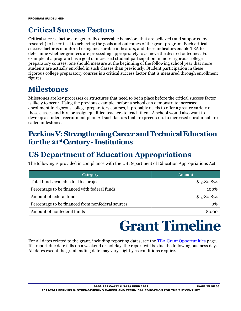## <span id="page-24-0"></span>**Critical Success Factors**

 Critical success factors are generally observable behaviors that are believed (and supported by research) to be critical to achieving the goals and outcomes of the grant program. Each critical success factor is monitored using measurable indicators, and these indicators enable TEA to determine whether grantees are proceeding appropriately to achieve the desired outcomes. For example, if a program has a goal of increased student participation in more rigorous college preparatory courses, one should measure at the beginning of the following school year that more students are actually enrolled in such classes than previously. Student participation in these rigorous college preparatory courses is a critical success factor that is measured through enrollment figures.

## <span id="page-24-1"></span>**Milestones**

 Milestones are key processes or structures that need to be in place before the critical success factor these classes and hire or assign qualified teachers to teach them. A school would also want to is likely to occur. Using the previous example, before a school can demonstrate increased enrollment in rigorous college preparatory courses, it probably needs to offer a greater variety of develop a student recruitment plan. All such factors that are precursors to increased enrollment are called milestones.

### <span id="page-24-2"></span> **PerkinsV: StrengtheningCareerandTechnicalEducation forthe21st Century - Institutions**

## <span id="page-24-3"></span>**US Department of Education Appropriations**

The following is provided in compliance with the US Department of Education Appropriations Act:

| Category                                          | <b>Amount</b> |
|---------------------------------------------------|---------------|
| Total funds available for this project            | \$1,780,874   |
| Percentage to be financed with federal funds      | 100%          |
| Amount of federal funds                           | \$1,780,874   |
| Percentage to be financed from nonfederal sources | $0\%$         |
| Amount of nonfederal funds                        |               |

## **Grant Timeline**

<span id="page-24-4"></span> If a report due date falls on a weekend or holiday, the report will be due the following business day. For all dates related to the grant, including reporting dates, see the **TEA Grant Opportunities** page. All dates except the grant ending date may vary slightly as conditions require.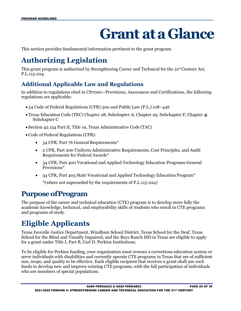## **Grant ata Glance**

<span id="page-25-0"></span>This section provides fundamental information pertinent to the grant program.

## <span id="page-25-1"></span>**Authorizing Legislation**

 This grant program is authorized by Strengthening Career and Technical for the 21st Century Act, P.L.115-224.

#### <span id="page-25-2"></span> **Additional Applicable Law and Regulations**

In addition to regulations cited in CS7000—Provisions, Assurances and Certifications, the following regulations are applicable:

- 34 Code of Federal Regulations (CFR) 300 and Public Law (P.L.) 108–446
- Texas Education Code (TEC) Chapter 28, Subchapter A; Chapter 29, Subchapter F; Chapter 42, Subchapter C
- Section 42.154 Part II, Title 19, Texas Administrative Code (TAC)
- • Code of Federal Regulations (CFR):
	- 34 CFR, Part 76 General Requirements\*
	- Requirements for Federal Awards\* • 2 CFR, Part 200 Uniform Administrative Requirements, Cost Principles, and Audit
	- 34 CFR, Part 400 Vocational and Applied Technology Education Programs-General Provisions\*
	- • 34 CFR, Part 403 State Vocational and Applied Technology Education Program\* \*(where not superseded by the requirements of P.L.115-224)

### <span id="page-25-3"></span>**Purpose ofProgram**

 The purpose of the career and technical education (CTE) program is to develop more fully the academic knowledge, technical, and employability skills of students who enroll in CTE programs and programs of study.

## <span id="page-25-4"></span>**Eligible Applicants**

 School for the Blind and Visually Impaired, and the Boys Ranch ISD in Texas are eligible to apply Texas Juvenile Justice Department, Windham School District, Texas School for the Deaf, Texas for a grant under Title I, Part B, Carl D. Perkins Institutions.

To be eligible for Perkins funding, your organization must oversee a corrections education system or serve individuals with disabilities and currently operate CTE programs in Texas that are of sufficient size, scope, and quality to be effective. Each eligible recipient that receives a grant shall use such funds to develop new and improve existing CTE programs, with the full participation of individuals who are members of special populations.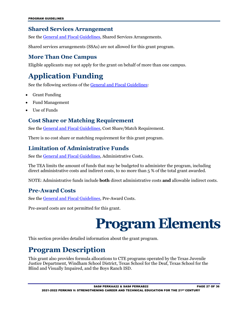#### <span id="page-26-0"></span>**Shared Services Arrangement**

See the [General and Fiscal Guidelines,](http://tea.texas.gov/WorkArea/linkit.aspx?LinkIdentifier=id&ItemID=25769819073) Shared Services Arrangements.

Shared services arrangements (SSAs) are not allowed for this grant program.

#### <span id="page-26-1"></span>**More Than One Campus**

Eligible applicants may not apply for the grant on behalf of more than one campus.

## <span id="page-26-2"></span>**Application Funding**

See the following sections of th[e General and Fiscal Guidelines:](http://tea.texas.gov/WorkArea/linkit.aspx?LinkIdentifier=id&ItemID=25769819073)

- Grant Funding
- Fund Management
- Use of Funds

#### <span id="page-26-3"></span> **Cost Share or Matching Requirement**

See the [General and Fiscal Guidelines,](http://tea.texas.gov/WorkArea/linkit.aspx?LinkIdentifier=id&ItemID=25769819073) Cost Share/Match Requirement.

There is no cost share or matching requirement for this grant program.

#### <span id="page-26-4"></span> **Limitation of Administrative Funds**

See the [General and Fiscal Guidelines,](http://tea.texas.gov/WorkArea/linkit.aspx?LinkIdentifier=id&ItemID=25769819073) Administrative Costs.

 direct administrative costs and indirect costs, to no more than 5 % of the total grant awarded. The TEA limits the amount of funds that may be budgeted to administer the program, including

NOTE: Administrative funds include **both** direct administrative costs **and** allowable indirect costs.

#### <span id="page-26-5"></span>**Pre-Award Costs**

See the [General and Fiscal Guidelines,](http://tea.texas.gov/WorkArea/linkit.aspx?LinkIdentifier=id&ItemID=25769819073) Pre-Award Costs.

<span id="page-26-6"></span>Pre-award costs are not permitted for this grant.

## **Program Elements**

This section provides detailed information about the grant program.

## <span id="page-26-7"></span>**Program Description**

 This grant also provides formula allocations to CTE programs operated by the Texas Juvenile Justice Department, Windham School District, Texas School for the Deaf, Texas School for the Blind and Visually Impaired, and the Boys Ranch ISD.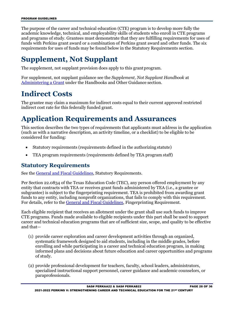The purpose of the career and technical education (CTE) program is to develop more fully the academic knowledge, technical, and employability skills of students who enroll in CTE programs and programs of study. Grantees must demonstrate that they are fulfilling requirements for uses of funds with Perkins grant award or a combination of Perkins grant award and other funds. The six requirements for uses of funds may be found below in the Statutory Requirements section.

## <span id="page-27-0"></span>**Supplement, Not Supplant**

The supplement, not supplant provision does apply to this grant program.

[Administering a Grant u](https://tea.texas.gov/Finance_and_Grants/Administering_a_Grant.aspx)nder the Handbooks and Other Guidance section. For supplement, not supplant guidance see the *Supplement, Not Supplant Handbook* at

## <span id="page-27-1"></span>**Indirect Costs**

The grantee may claim a maximum for indirect costs equal to their current approved restricted indirect cost rate for this federally funded grant.

## <span id="page-27-2"></span>**Application Requirements and Assurances**

 (such as with a narrative description, an activity timeline, or a checklist) to be eligible to be This section describes the two types of requirements that applicants must address in the application considered for funding:

- Statutory requirements (requirements defined in the authorizing statute)
- TEA program requirements (requirements defined by TEA program staff)

#### <span id="page-27-3"></span>**Statutory Requirements**

See the [General and Fiscal Guidelines,](http://tea.texas.gov/WorkArea/linkit.aspx?LinkIdentifier=id&ItemID=25769819073) Statutory Requirements.

 Per Section 22.0834 of the Texas Education Code (TEC), any person offered employment by any entity that contracts with TEA or receives grant funds administered by TEA (i.e., a grantee or subgrantee) is subject to the fingerprinting requirement. TEA is prohibited from awarding grant funds to any entity, including nonprofit organizations, that fails to comply with this requirement. For details, refer to the [General and Fiscal Guidelines,](http://tea.texas.gov/WorkArea/linkit.aspx?LinkIdentifier=id&ItemID=25769819073) Fingerprinting Requirement.

Each eligible recipient that receives an allotment under the grant shall use such funds to improve CTE programs. Funds made available to eligible recipients under this part shall be used to support career and technical education programs that are of sufficient size, scope, and quality to be effective and that—

- informed plans and decisions about future education and career opportunities and programs of study. (1) provide career exploration and career development activities through an organized, systematic framework designed to aid students, including in the middle grades, before enrolling and while participating in a career and technical education program, in making
- specialized instructional support personnel, career guidance and academic counselors, or (2) provide professional development for teachers, faculty, school leaders, administrators, paraprofessionals.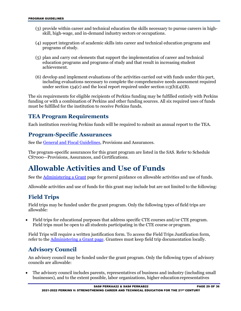- (3) provide within career and technical education the skills necessary to pursue careers in highskill, high-wage, and in-demand industry sectors or occupations.
- programs of study. (4) support integration of academic skills into career and technical education programs and
- (5) plan and carry out elements that support the implementation of career and technical education programs and programs of study and that result in increasing student achievement.
- (6) develop and implement evaluations of the activities carried out with funds under this part, including evaluations necessary to complete the comprehensive needs assessment required under section 134(c) and the local report required under section 113(b)(4)(B).

 funding or with a combination of Perkins and other funding sources. All six required uses of funds must be fulfilled for the institution to receive Perkins funds. The six requirements for eligible recipients of Perkins funding may be fulfilled entirely with Perkins

#### <span id="page-28-0"></span> **TEA Program Requirements**

Each institution receiving Perkins funds will be required to submit an annual report to the TEA.

#### <span id="page-28-1"></span>**Program-Specific Assurances**

See the [General and Fiscal Guidelines,](http://tea.texas.gov/WorkArea/linkit.aspx?LinkIdentifier=id&ItemID=25769819073) Provisions and Assurances.

 The program-specific assurances for this grant program are listed in the SAS. Refer to Schedule CS7000—Provisions, Assurances, and Certifications.

## <span id="page-28-2"></span>**Allowable Activities and Use of Funds**

See the <u>Administering a Grant</u> page for general guidance on allowable activities and use of funds.

Allowable activities and use of funds for this grant may include but are not limited to the following:

#### <span id="page-28-3"></span>**Field Trips**

Field trips may be funded under the grant program. Only the following types of field trips are allowable:

 • Field trips for educational purposes that address specific CTE courses and/or CTE program. Field trips must be open to all students participating in the CTE course or program.

Field Trips will require a written justification form. To access the Field Trips Justification form, refer to the [Administering a Grant page.](http://tea.texas.gov/Finance_and_Grants/Administering_a_Grant.aspx) Grantees must keep field trip documentation locally.

#### <span id="page-28-4"></span>**Advisory Council**

An advisory council may be funded under the grant program. Only the following types of advisory councils are allowable:

 businesses), and to the extent possible, labor organizations, higher education representatives • The advisory council includes parents, representatives of business and industry (including small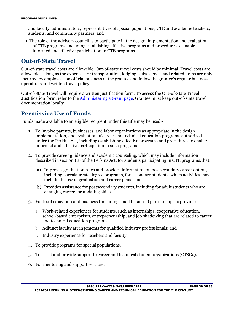and faculty, administrators, representatives of special populations, CTE and academic teachers, students, and community partners; and

 of CTE programs, including establishing effective programs and procedures to enable informed and effective participation in CTE programs. • The role of the advisory council is to participate in the design, implementation and evaluation

#### <span id="page-29-0"></span>**Out-of-State Travel**

 incurred by employees on official business of the grantee and follow the grantee's regular business Out-of-state travel costs are allowable. Out-of-state travel costs should be minimal. Travel costs are allowable as long as the expenses for transportation, lodging, subsistence, and related items are only operations and written travel policy.

Out-of-State Travel will require a written justification form. To access the Out-of-State Travel Justification form, refer to the [Administering a Grant page.](http://tea.texas.gov/Finance_and_Grants/Administering_a_Grant.aspx) Grantee must keep out-of-state travel documentation locally.

#### <span id="page-29-1"></span> **Permissive Use of Funds**

Funds made available to an eligible recipient under this title may be used -

- 1. To involve parents, businesses, and labor organizations as appropriate in the design, under the Perkins Act, including establishing effective programs and procedures to enable informed and effective participation in such programs. implementation, and evaluation of career and technical education programs authorized
- described in section 118 of the Perkins Act, for students participating in CTE programs,that: 2. To provide career guidance and academic counseling, which may include information
	- including baccalaureate degree programs, for secondary students, which activities may include the use of graduation and career plans; and a) Improves graduation rates and provides information on postsecondary career option,
	- changing careers or updating skills. b) Provides assistance for postsecondary students, including for adult students who are
- 3. For local education and business (including small business) partnerships to provide:
	- and technical education programs; a. Work-related experiences for students, such as internships, cooperative education, school-based enterprises, entrepreneurship, and job shadowing that are related to career
	- b. Adjunct faculty arrangements for qualified industry professionals; and
	- c. Industry experience for teachers and faculty.
- 4. To provide programs for special populations.
- 5. To assist and provide support to career and technical student organizations (CTSOs).
- 6. For mentoring and support services.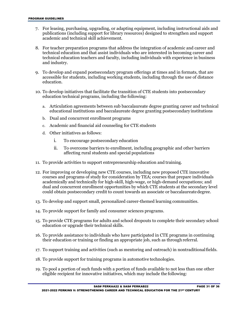- 7. For leasing, purchasing, upgrading, or adapting equipment, including instructional aids and publications (including support for library resources) designed to strengthen and support academic and technical skill achievement.
- and industry. 8. For teacher preparation programs that address the integration of academic and career and technical education and that assist individuals who are interested in becoming career and technical education teachers and faculty, including individuals with experience in business
- accessible for students, including working students, including through the use of distance 9. To develop and expand postsecondary program offerings at times and in formats, that are education.
- 10. To develop initiatives that facilitate the transition of CTE students into postsecondary education technical programs, including the following:
	- educational institutions and baccalaureate degree granting postsecondary institutions a. Articulation agreements between sub baccalaureate degree granting career and technical
	- b. Dual and concurrent enrollment programs
	- c. Academic and financial aid counseling for CTE students
	- d. Other initiatives as follows:
		- i. To encourage postsecondary education
		- ii. To overcome barriers to enrollment, including geographic and other barriers affecting rural students and special populations
- 11. To provide activities to support entrepreneurship education and training.
- could obtain postsecondary credit to count towards an associate or baccalaureate degree. 12. For improving or developing new CTE courses, including new proposed CTE innovative courses and programs of study for consideration by TEA; courses that prepare individuals academically and technically for high-skill, high-wage, or high-demand occupations; and dual and concurrent enrollment opportunities by which CTE students at the secondary level
- 13. To develop and support small, personalized career-themed learning communities.
- 14. To provide support for family and consumer sciences programs.
- 15. To provide CTE programs for adults and school dropouts to complete their secondary school education or upgrade their technical skills.
- their education or training or finding an appropriate job, such as through referral. 16. To provide assistance to individuals who have participated in CTE programs in continuing
- 17. To support training and activities (such as mentoring and outreach) in nontraditional fields.
- 18. To provide support for training programs in automotive technologies.
- eligible recipient for innovative initiatives, which may include the following: 19. To pool a portion of such funds with a portion of funds available to not less than one other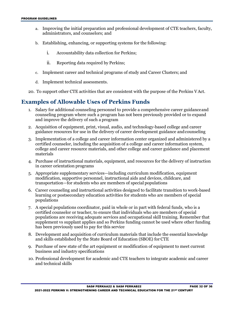- administrators, and counselors; and a. Improving the initial preparation and professional development of CTE teachers, faculty,
- b. Establishing, enhancing, or supporting systems for the following:
	- i. Accountability data collection for Perkins;
	- ii. Reporting data required by Perkins;
- c. Implement career and technical programs of study and Career Clusters; and
- d. Implement technical assessments.
- 20. To support other CTE activities that are consistent with the purpose of the Perkins V Act.

#### <span id="page-31-0"></span> **Examples of Allowable Uses of Perkins Funds**

- counseling program where such a program has not been previously provided or to expand and improve the delivery of such a program 1. Salary for additional counseling personnel to provide a comprehensive career guidanceand
- guidance resources for use in the delivery of career development guidance andcounseling 2. Acquisition of equipment, print, visual, audio, and technology-based college and career
- 3. Implementation of a college and career information center organized and administered by a certified counselor, including the acquisition of a college and career information system, college and career resource materials, and other college and career guidance and placement materials
- in career orientation programs 4. Purchase of instructional materials, equipment, and resources for the delivery of instruction
- 5. Appropriate supplementary services—including curriculum modification, equipment modification, supportive personnel, instructional aids and devices, childcare, and transportation—for students who are members of special populations
- 6. Career counseling and instructional activities designed to facilitate transition to work-based learning or postsecondary education activities for students who are members of special populations
- certified counselor or teacher, to ensure that individuals who are members of special populations are receiving adequate services and occupational skill training. Remember that supplement vs supplant applies and so Perkins funding cannot be used where other funding has been previously used to pay for this service 7. A special populations coordinator, paid in whole or in part with federal funds, who is a
- and skills established by the State Board of Education (SBOE) for CTE 8. Development and acquisition of curriculum materials that include the essential knowledge
- 9. Purchase of new state of the art equipment or modification of equipment to meet current business and industry specifications
- 10. Professional development for academic and CTE teachers to integrate academic and career and technical skills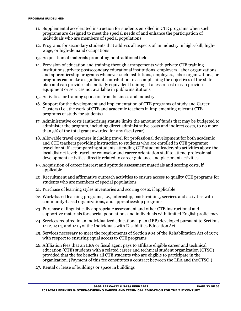- programs are designed to meet the special needs of and enhance the participation of 11. Supplemental accelerated instruction for students enrolled in CTE programs when such individuals who are members of special populations
- 12. Programs for secondary students that address all aspects of an industry in high-skill, highwage, or high-demand occupations
- 13. Acquisition of materials promoting nontraditional fields
- 14. Provision of education and training through arrangements with private CTE training institutions, private postsecondary educational institutions, employers, labor organizations, and apprenticeship programs whenever such institutions, employers, labor organizations, or programs can make a significant contribution to accomplishing the objectives of the state plan and can provide substantially equivalent training at a lesser cost or can provide equipment or services not available in public institutions
- 15. Activities for training sponsors from business and industry
- Clusters (i.e., the work of CTE and academic teachers in implementing relevant CTE programs of study for students) 16. Support for the development and implementation of CTE programs of study and Career
- 17. Administrative costs (authorizing statute limits the amount of funds that may be budgeted to administer the program, including direct administrative costs and indirect costs, to no more than 5% of the total grant awarded for any fiscal year)
- local district level; travel for counselor and career orientation staff to attend professional development activities directly related to career guidance and placement activities 18. Allowable travel expenses including travel for professional development for both academic and CTE teachers providing instruction to students who are enrolled in CTE programs; travel for staff accompanying students attending CTE student leadership activities above the
- 19. Acquisition of career interest and aptitude assessment materials and scoring costs, if applicable
- 20. Recruitment and affirmative outreach activities to ensure access to quality CTE programs for students who are members of special populations
- 21. Purchase of learning styles inventories and scoring costs, if applicable
- community-based organizations, and apprenticeship programs 22. Work-based learning programs, i.e., internship, paid-training, services and activities with
- supportive materials for special populations and individuals with limited Englishproficiency 23. Purchase of linguistically appropriate assessment and other CTE instructional and
- 24. Services required in an individualized educational plan (IEP) developed pursuant to Sections 1412, 1414, and 1415 of the Individuals with Disabilities Education Act
- 25. Services necessary to meet the requirements of Section 504 of the Rehabilitation Act of 1973 with respect to ensuring equal access to CTE programs
- provided that the fee benefits all CTE students who are eligible to participate in the organization. (Payment of this fee constitutes a contract between the LEA and theCTSO.) 26. Affiliation fees that an LEA or fiscal agent pays to affiliate eligible career and technical education (CTE) students with a related career and technical student organization (CTSO)
- 27. Rental or lease of buildings or space in buildings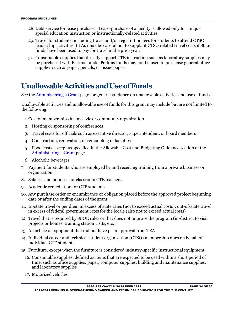- 28. Debt service for lease purchases. Lease-purchase of a facility is allowed only for unique special education instruction or instructionally-related activities
- leadership activities. LEAs must be careful not to supplant CTSO related travel costs if State funds have been used to pay for travel in the prior year. 29. Travel for students, including travel and/or registration fees for students to attend CTSO
- supplies such as paper, pencils, or tissue paper. 30. Consumable supplies that directly support CTE instruction such as laboratory supplies may be purchased with Perkins funds. Perkins funds may not be used to purchase general office

## <span id="page-33-0"></span> **UnallowableActivitiesandUseof Funds**

See the **Administering a Grant page for general guidance on unallowable activities and use of funds.** 

Unallowable activities and unallowable use of funds for this grant may include but are not limited to the following:

- 1.Cost of memberships in any civic or community organization
- 2. Hosting or sponsoring of conferences
- 3. Travel costs for officials such as executive director, superintendent, or board members
- 4. Construction, renovation, or remodeling of facilities
- 5. Food costs, except as specified in the Allowable Cost and Budgeting Guidance section of th[e](http://www.tea.texas.gov/WorkArea/linkit.aspx?LinkIdentifier=id&ItemID=25769814700)  [Administering a Grant p](http://www.tea.texas.gov/WorkArea/linkit.aspx?LinkIdentifier=id&ItemID=25769814700)age
- 6. Alcoholic beverages
- 7. Payment for students who are employed by and receiving training from a private business or organization
- 8. Salaries and bonuses for classroom CTE teachers
- 9. Academic remediation for CTE students
- 10. Any purchase order or encumbrance or obligation placed before the approved project beginning date or after the ending dates of the grant
- 11. In-state travel or per diem in excess of state rates (not to exceed actual costs); out-of-state travel in excess of federal government rates for the locale (also not to exceed actual costs)
- projects or homes, training station visits, etc.) 12. Travel that is required by SBOE rules or that does not improve the program (in-district to visit
- 13. An article of equipment that did not have prior approval from TEA
- 14. Individual career and technical student organization (CTSO) membership dues on behalf of individual CTE students
- 15. Furniture, except when the furniture is considered industry-specific instructional equipment
	- 16. Consumable supplies, defined as items that are expected to be used within a short period of and laboratory supplies time, such as office supplies, paper, computer supplies, building and maintenance supplies,
	- 17. Motorized vehicles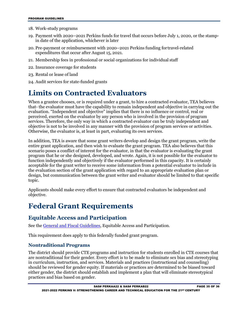- 18. Work-study programs
- in date of the application, whichever is later 19. Payment with 2020–2021 Perkins funds for travel that occurs before July 1, 2020, or the stamp-
- expenditures that occur after August 15, 2021. 20. Pre-payment or reimbursement with 2020–2021 Perkins funding fortravel-related
- 21. Membership fees in professional or social organizations for individual staff
- 22. Insurance coverage for students
- 23. Rental or lease of land
- 24. Audit services for state-funded grants

### <span id="page-34-0"></span>**Limits on Contracted Evaluators**

 When a grantee chooses, or is required under a grant, to hire a contracted evaluator, TEA believes objective is not to be involved in any manner with the provision of program services or activities. Otherwise, the evaluator is, at least in part, evaluating its own services. that- the evaluator must have the capability to remain independent and objective in carrying out the evaluation. "Independent and objective" implies that there is no influence or control, real or perceived, exerted on the evaluator by any person who is involved in the provision of program services. Therefore, the only way in which a contracted evaluator can be truly independent and

 acceptable for the grant writer to receive some information from a potential evaluator to include in design, but communication between the grant writer and evaluator should be limited to that specific In addition, TEA is aware that some grant writers develop and design the grant program, write the entire grant application, and then wish to evaluate the grant program. TEA also believes that this scenario poses a conflict of interest for the evaluator, in that the evaluator is evaluating the grant program that he or she designed, developed, and wrote. Again, it is not possible for the evaluator to function independently and objectively if the evaluator performed in this capacity. It is certainly the evaluation section of the grant application with regard to an appropriate evaluation plan or topic.

Applicants should make every effort to ensure that contracted evaluators be independent and objective.

### <span id="page-34-1"></span>**Federal Grant Requirements**

#### <span id="page-34-2"></span>**Equitable Access and Participation**

See the [General and Fiscal Guidelines,](http://tea.texas.gov/WorkArea/linkit.aspx?LinkIdentifier=id&ItemID=25769819073) Equitable Access and Participation.

This requirement does apply to this federally funded grant program.

#### **Nontraditional Programs**

 practices and bias based on gender. The district should provide CTE programs and instruction for students enrolled in CTE courses that are nontraditional for their gender. Every effort is to be made to eliminate sex bias and stereotyping in curriculum, instruction, and services. Materials and practices (instructional and counseling) should be reviewed for gender equity. If materials or practices are determined to be biased toward either gender, the district should establish and implement a plan that will eliminate stereotypical